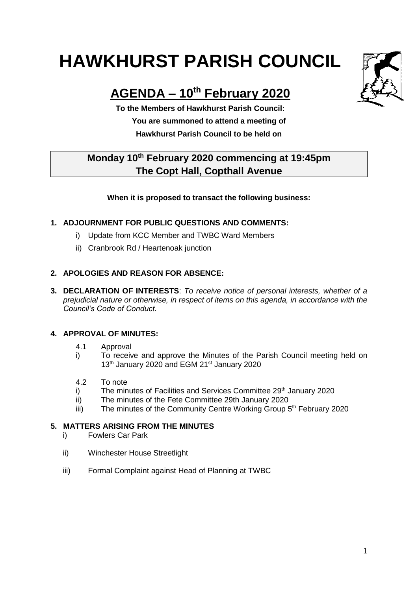# **HAWKHURST PARISH COUNCIL**



## **AGENDA – 10 th February 2020**

**To the Members of Hawkhurst Parish Council: You are summoned to attend a meeting of Hawkhurst Parish Council to be held on**

### **Monday 10th February 2020 commencing at 19:45pm The Copt Hall, Copthall Avenue**

#### **When it is proposed to transact the following business:**

#### **1. ADJOURNMENT FOR PUBLIC QUESTIONS AND COMMENTS:**

- i) Update from KCC Member and TWBC Ward Members
- ii) Cranbrook Rd / Heartenoak junction

#### **2. APOLOGIES AND REASON FOR ABSENCE:**

**3. DECLARATION OF INTERESTS**: *To receive notice of personal interests, whether of a prejudicial nature or otherwise, in respect of items on this agenda, in accordance with the Council's Code of Conduct.*

#### **4. APPROVAL OF MINUTES:**

- 4.1 Approval
- i) To receive and approve the Minutes of the Parish Council meeting held on 13<sup>th</sup> January 2020 and EGM 21<sup>st</sup> January 2020
- 4.2 To note
- i) The minutes of Facilities and Services Committee 29<sup>th</sup> January 2020
- ii) The minutes of the Fete Committee 29th January 2020
- iii) The minutes of the Community Centre Working Group 5<sup>th</sup> February 2020

#### **5. MATTERS ARISING FROM THE MINUTES**

- i) Fowlers Car Park
- ii) Winchester House Streetlight
- iii) Formal Complaint against Head of Planning at TWBC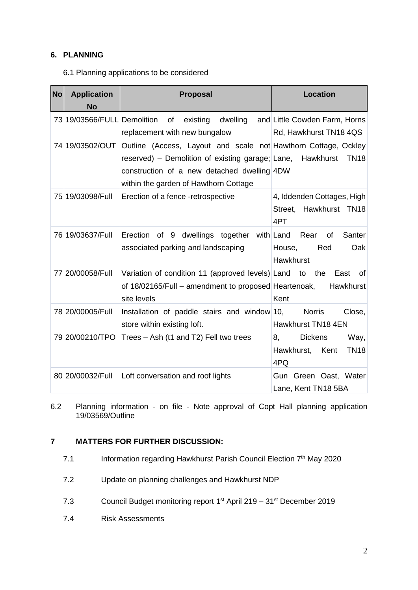#### **6. PLANNING**

#### 6.1 Planning applications to be considered

| <b>No</b> | <b>Application</b><br><b>No</b> | <b>Proposal</b>                                                                                                                                                                                                      | <b>Location</b>                                                           |
|-----------|---------------------------------|----------------------------------------------------------------------------------------------------------------------------------------------------------------------------------------------------------------------|---------------------------------------------------------------------------|
|           | 73 19/03566/FULL Demolition     | of<br>replacement with new bungalow                                                                                                                                                                                  | existing dwelling and Little Cowden Farm, Horns<br>Rd, Hawkhurst TN18 4QS |
|           | 74 19/03502/OUT                 | Outline (Access, Layout and scale not Hawthorn Cottage, Ockley<br>reserved) – Demolition of existing garage; Lane, Hawkhurst<br>construction of a new detached dwelling 4DW<br>within the garden of Hawthorn Cottage | <b>TN18</b>                                                               |
|           | 75 19/03098/Full                | Erection of a fence -retrospective                                                                                                                                                                                   | 4, Iddenden Cottages, High<br>Street, Hawkhurst TN18<br>4PT               |
|           | 76 19/03637/Full                | Erection of 9 dwellings together with Land<br>associated parking and landscaping                                                                                                                                     | Santer<br>Rear<br><b>of</b><br>House,<br>Red<br>Oak<br>Hawkhurst          |
|           | 77 20/00058/Full                | Variation of condition 11 (approved levels) Land to the<br>of 18/02165/Full – amendment to proposed Heartenoak,<br>site levels                                                                                       | East<br>οf<br>Hawkhurst<br>Kent                                           |
|           | 78 20/00005/Full                | Installation of paddle stairs and window 10,<br>store within existing loft.                                                                                                                                          | Close,<br><b>Norris</b><br>Hawkhurst TN18 4EN                             |
|           | 79 20/00210/TPO                 | Trees - Ash (t1 and T2) Fell two trees                                                                                                                                                                               | <b>Dickens</b><br>Way,<br>8,<br><b>TN18</b><br>Hawkhurst,<br>Kent<br>4PQ  |
|           | 80 20/00032/Full                | Loft conversation and roof lights                                                                                                                                                                                    | Gun Green Oast, Water<br>Lane, Kent TN18 5BA                              |

6.2 Planning information - on file - Note approval of Copt Hall planning application 19/03569/Outline

#### **7 MATTERS FOR FURTHER DISCUSSION:**

- 7.1 Information regarding Hawkhurst Parish Council Election 7<sup>th</sup> May 2020
- 7.2 Update on planning challenges and Hawkhurst NDP
- 7.3 Council Budget monitoring report 1<sup>st</sup> April 219 31<sup>st</sup> December 2019
- 7.4 Risk Assessments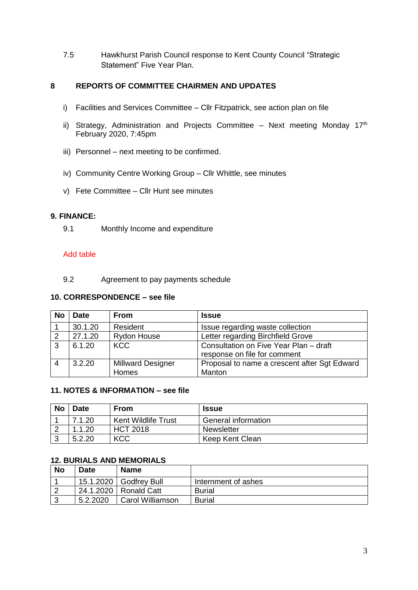7.5 Hawkhurst Parish Council response to Kent County Council "Strategic Statement" Five Year Plan.

#### **8 REPORTS OF COMMITTEE CHAIRMEN AND UPDATES**

- i) Facilities and Services Committee Cllr Fitzpatrick, see action plan on file
- ii) Strategy, Administration and Projects Committee Next meeting Monday  $17<sup>th</sup>$ February 2020, 7:45pm
- iii) Personnel next meeting to be confirmed.
- iv) Community Centre Working Group Cllr Whittle, see minutes
- v) Fete Committee Cllr Hunt see minutes

#### **9. FINANCE:**

9.1 Monthly Income and expenditure

#### Add table

9.2 Agreement to pay payments schedule

#### **10. CORRESPONDENCE – see file**

| No         | <b>Date</b> | <b>From</b>                              | <b>Issue</b>                                                           |
|------------|-------------|------------------------------------------|------------------------------------------------------------------------|
|            | 30.1.20     | Resident                                 | Issue regarding waste collection                                       |
| $\sqrt{2}$ | 27.1.20     | Rydon House                              | Letter regarding Birchfield Grove                                      |
| 3          | 6.1.20      | <b>KCC</b>                               | Consultation on Five Year Plan - draft<br>response on file for comment |
| 4          | 3.2.20      | <b>Millward Designer</b><br><b>Homes</b> | Proposal to name a crescent after Sgt Edward<br>Manton                 |

#### **11. NOTES & INFORMATION – see file**

| <b>No</b> | Date   | <b>From</b>                | <b>Issue</b>           |
|-----------|--------|----------------------------|------------------------|
|           | 7.1.20 | <b>Kent Wildlife Trust</b> | General information    |
|           | 1.1.20 | <b>HCT 2018</b>            | Newsletter             |
|           | 5.2.20 | KCC                        | <b>Keep Kent Clean</b> |

#### **12. BURIALS AND MEMORIALS**

| <b>No</b> | Date      | <b>Name</b>         |                     |
|-----------|-----------|---------------------|---------------------|
|           | 15.1.2020 | <b>Godfrey Bull</b> | Internment of ashes |
|           | 24.1.2020 | <b>Ronald Catt</b>  | <b>Burial</b>       |
|           | 5.2.2020  | Carol Williamson    | <b>Burial</b>       |